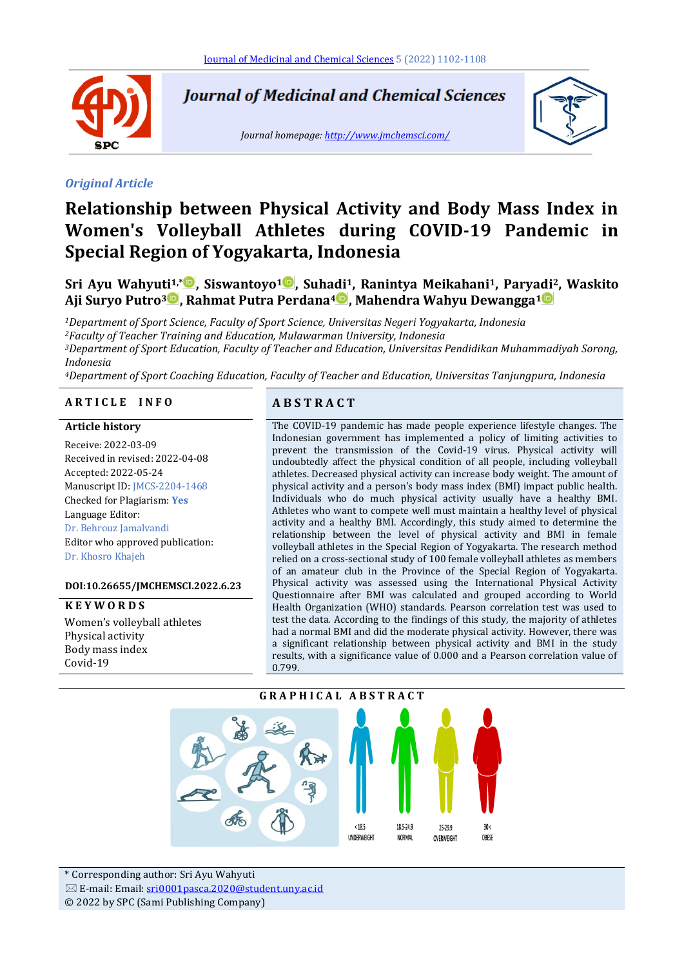

**Journal of Medicinal and Chemical Sciences** 

*Journal homepage:<http://www.jmchemsci.com/>*



#### *Original Article*

# **Relationship between Physical Activity and Body Mass Index in Women's Volleyball Athletes during COVID-19 Pandemic in Special Region of Yogyakarta, Indonesia**

# **Sri Ayu Wahyuti1,\* , Siswantoyo<sup>1</sup> , Suhadi1, Ranintya Meikahani1, Paryadi2, Waskito Aji Suryo Putro<sup>3</sup> , Rahmat Putra Perdana<sup>4</sup> , Mahendra Wahyu Dewangga<sup>1</sup>**

*Department of Sport Science, Faculty of Sport Science, Universitas Negeri Yogyakarta, Indonesia Faculty of Teacher Training and Education, Mulawarman University, Indonesia Department of Sport Education, Faculty of Teacher and Education, Universitas Pendidikan Muhammadiyah Sorong, Indonesia*

*<sup>4</sup>Department of Sport Coaching Education, Faculty of Teacher and Education, Universitas Tanjungpura, Indonesia*

## **A R T I C L E I N F O A B S T R A C T**

#### **Article history**

Receive: 2022-03-09 Received in revised: 2022-04-08 Accepted: 2022-05-24 Manuscript ID: JMCS-2204-1468 Checked for Plagiarism: **Yes** Language Editor: Dr. Behrouz Jamalvandi Editor who approved publication: Dr. Khosro Khajeh

#### **DOI:10.26655/JMCHEMSCI.2022.6.23**

**K E Y W O R D S** Women's volleyball athletes Physical activity Body mass index Covid-19

The COVID-19 pandemic has made people experience lifestyle changes. The Indonesian government has implemented a policy of limiting activities to prevent the transmission of the Covid-19 virus. Physical activity will undoubtedly affect the physical condition of all people, including volleyball athletes. Decreased physical activity can increase body weight. The amount of physical activity and a person's body mass index (BMI) impact public health. Individuals who do much physical activity usually have a healthy BMI. Athletes who want to compete well must maintain a healthy level of physical activity and a healthy BMI. Accordingly, this study aimed to determine the relationship between the level of physical activity and BMI in female volleyball athletes in the Special Region of Yogyakarta. The research method relied on a cross-sectional study of 100 female volleyball athletes as members of an amateur club in the Province of the Special Region of Yogyakarta. Physical activity was assessed using the International Physical Activity Questionnaire after BMI was calculated and grouped according to World Health Organization (WHO) standards. Pearson correlation test was used to test the data. According to the findings of this study, the majority of athletes had a normal BMI and did the moderate physical activity. However, there was a significant relationship between physical activity and BMI in the study results, with a significance value of 0.000 and a Pearson correlation value of 0.799.



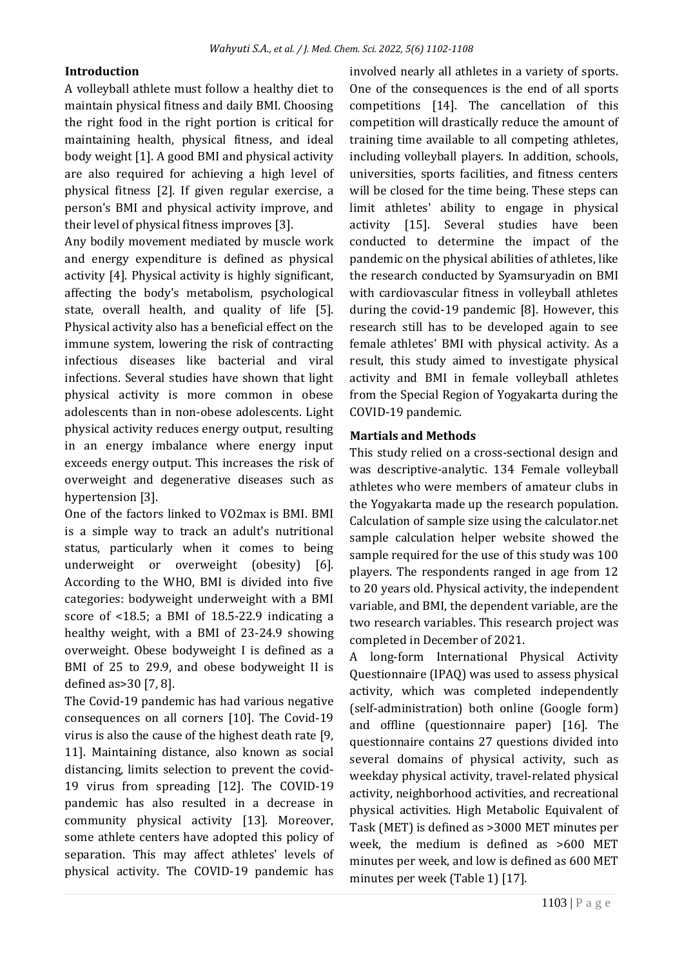# **Introduction**

A volleyball athlete must follow a healthy diet to maintain physical fitness and daily BMI. Choosing the right food in the right portion is critical for maintaining health, physical fitness, and ideal body weight [1]. A good BMI and physical activity are also required for achieving a high level of physical fitness [2]. If given regular exercise, a person's BMI and physical activity improve, and their level of physical fitness improves [3].

Any bodily movement mediated by muscle work and energy expenditure is defined as physical activity [4]. Physical activity is highly significant, affecting the body's metabolism, psychological state, overall health, and quality of life [5]. Physical activity also has a beneficial effect on the immune system, lowering the risk of contracting infectious diseases like bacterial and viral infections. Several studies have shown that light physical activity is more common in obese adolescents than in non-obese adolescents. Light physical activity reduces energy output, resulting in an energy imbalance where energy input exceeds energy output. This increases the risk of overweight and degenerative diseases such as hypertension [3].

One of the factors linked to VO2max is BMI. BMI is a simple way to track an adult's nutritional status, particularly when it comes to being underweight or overweight (obesity) [6]. According to the WHO, BMI is divided into five categories: bodyweight underweight with a BMI score of <18.5; a BMI of 18.5-22.9 indicating a healthy weight, with a BMI of 23-24.9 showing overweight. Obese bodyweight I is defined as a BMI of 25 to 29.9, and obese bodyweight II is defined as>30 [7, 8].

The Covid-19 pandemic has had various negative consequences on all corners [10]. The Covid-19 virus is also the cause of the highest death rate [9, 11]. Maintaining distance, also known as social distancing, limits selection to prevent the covid-19 virus from spreading [12]. The COVID-19 pandemic has also resulted in a decrease in community physical activity [13]. Moreover, some athlete centers have adopted this policy of separation. This may affect athletes' levels of physical activity. The COVID-19 pandemic has

involved nearly all athletes in a variety of sports. One of the consequences is the end of all sports competitions [14]. The cancellation of this competition will drastically reduce the amount of training time available to all competing athletes, including volleyball players. In addition, schools, universities, sports facilities, and fitness centers will be closed for the time being. These steps can limit athletes' ability to engage in physical activity [15]. Several studies have been conducted to determine the impact of the pandemic on the physical abilities of athletes, like the research conducted by Syamsuryadin on BMI with cardiovascular fitness in volleyball athletes during the covid-19 pandemic [8]. However, this research still has to be developed again to see female athletes' BMI with physical activity. As a result, this study aimed to investigate physical activity and BMI in female volleyball athletes from the Special Region of Yogyakarta during the COVID-19 pandemic.

# **Martials and Methods**

This study relied on a cross-sectional design and was descriptive-analytic. 134 Female volleyball athletes who were members of amateur clubs in the Yogyakarta made up the research population. Calculation of sample size using the calculator.net sample calculation helper website showed the sample required for the use of this study was 100 players. The respondents ranged in age from 12 to 20 years old. Physical activity, the independent variable, and BMI, the dependent variable, are the two research variables. This research project was completed in December of 2021.

A long-form International Physical Activity Questionnaire (IPAQ) was used to assess physical activity, which was completed independently (self-administration) both online (Google form) and offline (questionnaire paper) [16]. The questionnaire contains 27 questions divided into several domains of physical activity, such as weekday physical activity, travel-related physical activity, neighborhood activities, and recreational physical activities. High Metabolic Equivalent of Task (MET) is defined as >3000 MET minutes per week, the medium is defined as >600 MET minutes per week, and low is defined as 600 MET minutes per week (Table 1) [17].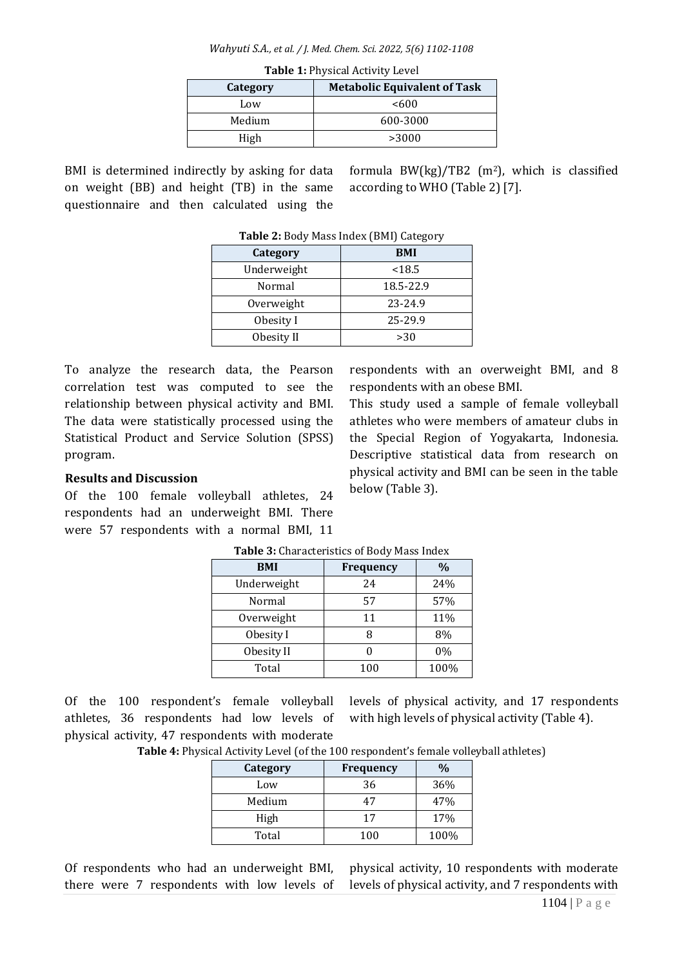*Wahyuti S.A., et al. / J. Med. Chem. Sci. 2022, 5(6) 1102-1108*

| $1.0010 + 1.1$ , $0.0001 + 1.001$ , $10, 001$   |          |  |
|-------------------------------------------------|----------|--|
| <b>Metabolic Equivalent of Task</b><br>Category |          |  |
| Low                                             | < 600    |  |
| Medium                                          | 600-3000 |  |
| High                                            | >3000    |  |
|                                                 |          |  |

**Table 1:** Physical Activity Level

BMI is determined indirectly by asking for data on weight (BB) and height (TB) in the same questionnaire and then calculated using the

formula BW(kg)/TB2  $(m^2)$ , which is classified according to WHO (Table 2) [7].

| Category    | <b>BMI</b> |  |
|-------------|------------|--|
| Underweight | < 18.5     |  |
| Normal      | 18.5-22.9  |  |
| Overweight  | 23-24.9    |  |
| Obesity I   | 25-29.9    |  |
| Obesity II  | >30        |  |

To analyze the research data, the Pearson correlation test was computed to see the relationship between physical activity and BMI. The data were statistically processed using the Statistical Product and Service Solution (SPSS) program.

# **Results and Discussion**

Of the 100 female volleyball athletes, 24 respondents had an underweight BMI. There were 57 respondents with a normal BMI, 11 respondents with an overweight BMI, and 8 respondents with an obese BMI.

This study used a sample of female volleyball athletes who were members of amateur clubs in the Special Region of Yogyakarta, Indonesia. Descriptive statistical data from research on physical activity and BMI can be seen in the table below (Table 3).

| <b>TWOTE OF GRAFACTIONICO OF DOWY FROM HIMCH</b> |           |      |  |
|--------------------------------------------------|-----------|------|--|
| <b>BMI</b>                                       | Frequency | %    |  |
| Underweight                                      | 24        | 24%  |  |
| Normal                                           | 57        | 57%  |  |
| Overweight                                       | 11        | 11%  |  |
| Obesity I                                        | 8         | 8%   |  |
| Obesity II                                       |           | 0%   |  |
| Total                                            | 100       | 100% |  |

**Table 3:** Characteristics of Body Mass Index

Of the 100 respondent's female volleyball athletes, 36 respondents had low levels of physical activity, 47 respondents with moderate levels of physical activity, and 17 respondents with high levels of physical activity (Table 4).

| Table 4: Physical Activity Level (of the 100 respondent's female volleyball athletes) |  |  |
|---------------------------------------------------------------------------------------|--|--|
|---------------------------------------------------------------------------------------|--|--|

| Category | <b>Frequency</b> | $\%$ |
|----------|------------------|------|
| Low      | 36               | 36%  |
| Medium   | 47               | 47%  |
| High     | 17               | 17%  |
| Total    | 100              | 100% |

Of respondents who had an underweight BMI, there were 7 respondents with low levels of

physical activity, 10 respondents with moderate levels of physical activity, and 7 respondents with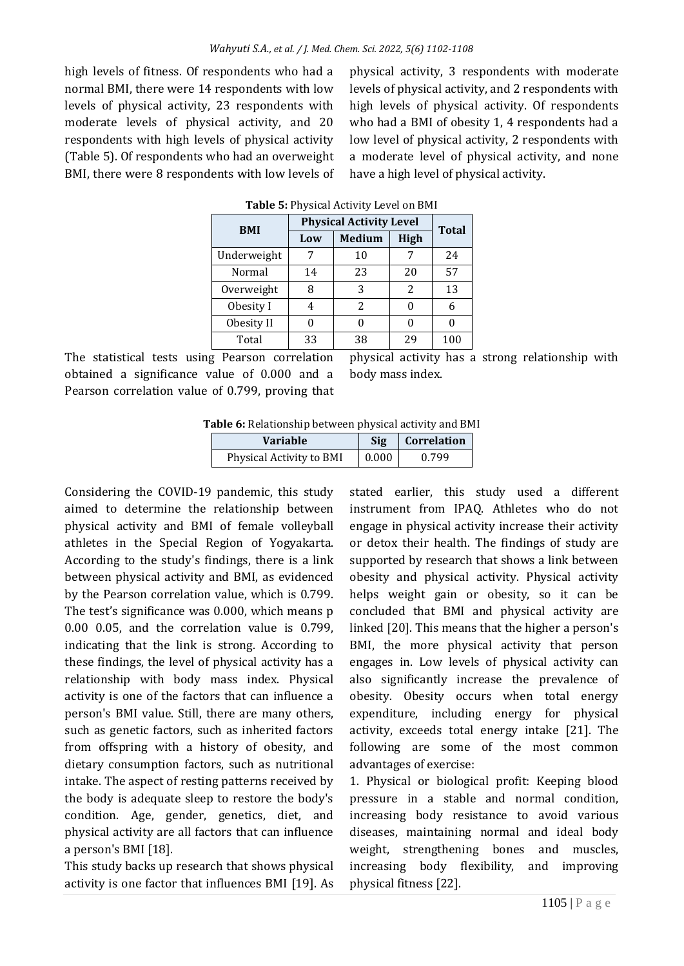high levels of fitness. Of respondents who had a normal BMI, there were 14 respondents with low levels of physical activity, 23 respondents with moderate levels of physical activity, and 20 respondents with high levels of physical activity (Table 5). Of respondents who had an overweight BMI, there were 8 respondents with low levels of

physical activity, 3 respondents with moderate levels of physical activity, and 2 respondents with high levels of physical activity. Of respondents who had a BMI of obesity 1, 4 respondents had a low level of physical activity, 2 respondents with a moderate level of physical activity, and none have a high level of physical activity.

| <b>BMI</b>  | <b>Physical Activity Level</b> | <b>Total</b>  |      |     |
|-------------|--------------------------------|---------------|------|-----|
|             | Low                            | <b>Medium</b> | High |     |
| Underweight |                                | 10            |      | 24  |
| Normal      | 14                             | 23            | 20   | 57  |
| Overweight  | 8                              | 3             | 2    | 13  |
| Obesity I   | 4                              | 2             | O    | 6   |
| Obesity II  |                                |               |      |     |
| Total       | 33                             | 38            | 29   | 100 |

#### **Table 5:** Physical Activity Level on BMI

The statistical tests using Pearson correlation obtained a significance value of 0.000 and a Pearson correlation value of 0.799, proving that physical activity has a strong relationship with body mass index.

**Table 6:** Relationship between physical activity and BMI

| <b>Variable</b>          | <b>Sig</b> | <b>Correlation</b> |
|--------------------------|------------|--------------------|
| Physical Activity to BMI | $0.000\,$  | 0.799              |

Considering the COVID-19 pandemic, this study aimed to determine the relationship between physical activity and BMI of female volleyball athletes in the Special Region of Yogyakarta. According to the study's findings, there is a link between physical activity and BMI, as evidenced by the Pearson correlation value, which is 0.799. The test's significance was 0.000, which means p 0.00 0.05, and the correlation value is 0.799, indicating that the link is strong. According to these findings, the level of physical activity has a relationship with body mass index. Physical activity is one of the factors that can influence a person's BMI value. Still, there are many others, such as genetic factors, such as inherited factors from offspring with a history of obesity, and dietary consumption factors, such as nutritional intake. The aspect of resting patterns received by the body is adequate sleep to restore the body's condition. Age, gender, genetics, diet, and physical activity are all factors that can influence a person's BMI [18].

This study backs up research that shows physical activity is one factor that influences BMI [19]. As

stated earlier, this study used a different instrument from IPAQ. Athletes who do not engage in physical activity increase their activity or detox their health. The findings of study are supported by research that shows a link between obesity and physical activity. Physical activity helps weight gain or obesity, so it can be concluded that BMI and physical activity are linked [20]. This means that the higher a person's BMI, the more physical activity that person engages in. Low levels of physical activity can also significantly increase the prevalence of obesity. Obesity occurs when total energy expenditure, including energy for physical activity, exceeds total energy intake [21]. The following are some of the most common advantages of exercise:

1. Physical or biological profit: Keeping blood pressure in a stable and normal condition, increasing body resistance to avoid various diseases, maintaining normal and ideal body weight, strengthening bones and muscles, increasing body flexibility, and improving physical fitness [22].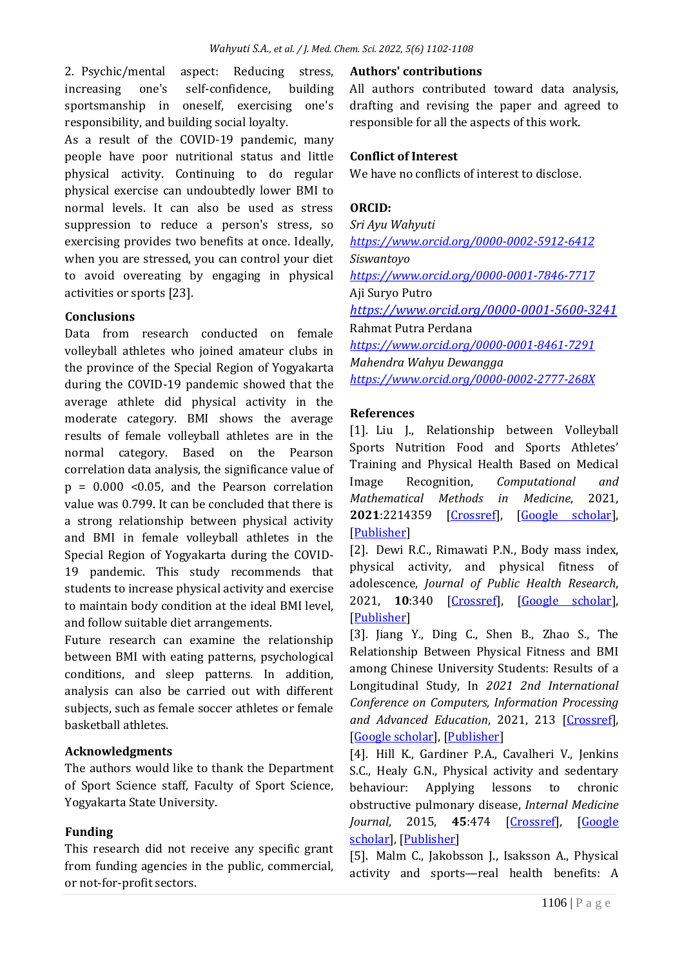2. Psychic/mental aspect: Reducing stress, increasing one's self-confidence, building sportsmanship in oneself, exercising one's responsibility, and building social loyalty.

As a result of the COVID-19 pandemic, many people have poor nutritional status and little physical activity. Continuing to do regular physical exercise can undoubtedly lower BMI to normal levels. It can also be used as stress suppression to reduce a person's stress, so exercising provides two benefits at once. Ideally, when you are stressed, you can control your diet to avoid overeating by engaging in physical activities or sports [23].

### **Conclusions**

Data from research conducted on female volleyball athletes who joined amateur clubs in the province of the Special Region of Yogyakarta during the COVID-19 pandemic showed that the average athlete did physical activity in the moderate category. BMI shows the average results of female volleyball athletes are in the normal category. Based on the Pearson correlation data analysis, the significance value of  $p = 0.000$  <0.05, and the Pearson correlation value was 0.799. It can be concluded that there is a strong relationship between physical activity and BMI in female volleyball athletes in the Special Region of Yogyakarta during the COVID-19 pandemic. This study recommends that students to increase physical activity and exercise to maintain body condition at the ideal BMI level, and follow suitable diet arrangements.

Future research can examine the relationship between BMI with eating patterns, psychological conditions, and sleep patterns. In addition, analysis can also be carried out with different subjects, such as female soccer athletes or female basketball athletes.

# **Acknowledgments**

The authors would like to thank the Department of Sport Science staff, Faculty of Sport Science, Yogyakarta State University.

# **Funding**

This research did not receive any specific grant from funding agencies in the public, commercial, or not-for-profit sectors.

### **Authors' contributions**

All authors contributed toward data analysis, drafting and revising the paper and agreed to responsible for all the aspects of this work.

### **Conflict of Interest**

We have no conflicts of interest to disclose.

### **ORCID:**

*Sri Ayu Wahyuti <https://www.orcid.org/0000-0002-5912-6412> Siswantoyo <https://www.orcid.org/0000-0001-7846-7717>* Aji Suryo Putro *<https://www.orcid.org/0000-0001-5600-3241>* Rahmat Putra Perdana *<https://www.orcid.org/0000-0001-8461-7291> Mahendra Wahyu Dewangga <https://www.orcid.org/0000-0002-2777-268X>*

### **References**

[1]. Liu J., Relationship between Volleyball Sports Nutrition Food and Sports Athletes' Training and Physical Health Based on Medical Image Recognition, *Computational and Mathematical Methods in Medicine*, 2021, **2021**:2214359 [\[Crossref\]](https://doi.org/10.1155/2021/2214359), [\[Google scholar\]](https://scholar.google.com/scholar?hl=de&as_sdt=0%2C5&q=Relationship+between+Volleyball+Sports+Nutrition+Food+and+Sports+Athletes%E2%80%99+Training+and+Physical+Health+Based+on+Medical+Image+Recognition&btnG=), [\[Publisher\]](https://www.hindawi.com/journals/cmmm/2021/2214359/)

[2]. Dewi R.C., Rimawati P.N., Body mass index, physical activity, and physical fitness of adolescence, *Journal of Public Health Research*, 2021, **10**:340 [\[Crossref\]](https://doi.org/10.4081/jphr.2021.2230), [\[Google scholar\]](https://scholar.google.com/scholar?hl=de&as_sdt=0%2C5&q=Body+Mass+Index%2C+Physical+Activity%2C+and+Physical+Fitness+of+Adolescence&btnG=), [\[Publisher\]](https://journals.sagepub.com/doi/10.4081/jphr.2021.2230)

[3]. Jiang Y., Ding C., Shen B., Zhao S., The Relationship Between Physical Fitness and BMI among Chinese University Students: Results of a Longitudinal Study, In *2021 2nd International Conference on Computers, Information Processing*  and Advanced Education, 2021, 213 [\[Crossref\]](https://doi.org/10.1145/3456887.3456934), [\[Google scholar\]](https://scholar.google.com/scholar?hl=de&as_sdt=0%2C5&q=The+Relationship+Between+Physical+Fitness+and+BMI+among+Chinese+University+Students%3A+Results+of+a+Longitudinal+Study&btnG=), [\[Publisher\]](https://dl.acm.org/doi/10.1145/3456887.3456934)

[4]. Hill K., Gardiner P.A., Cavalheri V., Jenkins S.C., Healy G.N., Physical activity and sedentary behaviour: Applying lessons to chronic obstructive pulmonary disease, *Internal Medicine Journal*, 2015, **45**:474 [\[Crossref\]](https://doi.org/10.1111/imj.12570), [\[Google](https://scholar.google.com/scholar?hl=de&as_sdt=0%2C5&q=Physical+activity+and+sedentary+behaviour%3A+applying+lessons+to+chronic+obstructive+pulmonary+disease&btnG=)  [scholar\]](https://scholar.google.com/scholar?hl=de&as_sdt=0%2C5&q=Physical+activity+and+sedentary+behaviour%3A+applying+lessons+to+chronic+obstructive+pulmonary+disease&btnG=), [\[Publisher\]](https://onlinelibrary.wiley.com/doi/10.1111/imj.12570)

[5]. Malm C., Jakobsson J., Isaksson A., Physical activity and sports—real health benefits: A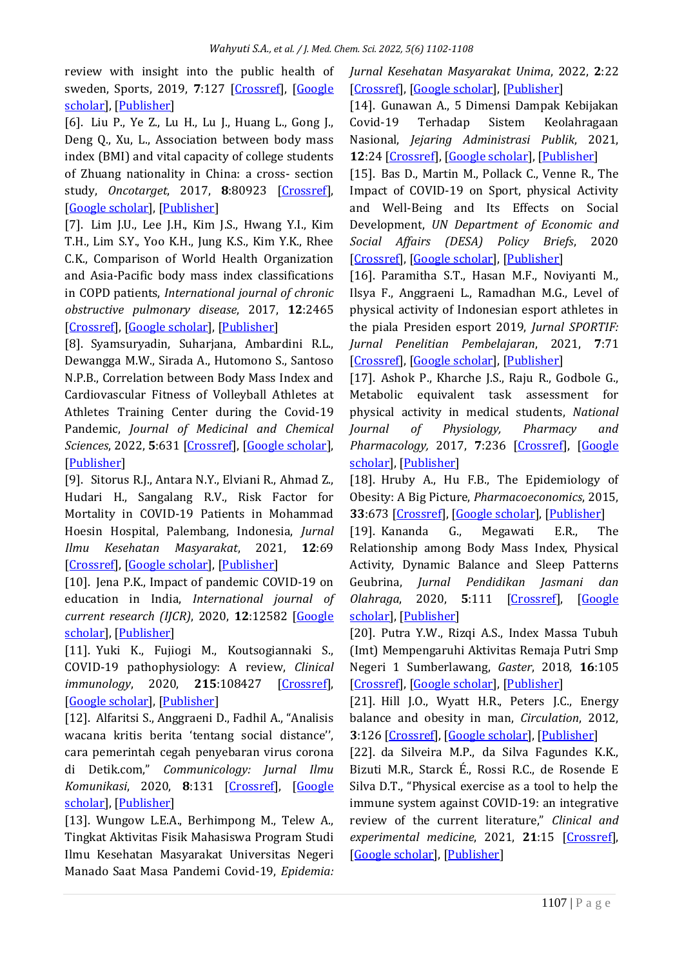review with insight into the public health of sweden, Sports, 2019, 7:127 [\[Crossref\]](https://doi.org/10.3390/sports7050127), [Google [scholar\]](https://scholar.google.com/scholar?hl=de&as_sdt=0%2C5&q=Physical+Activity+and+Sports%E2%80%94Real+Health+Benefits%3A+A+Review+with+Insight+into+the+Public+Health+of+Sweden&btnG=), [\[Publisher\]](https://www.mdpi.com/2075-4663/7/5/127)

[6]. Liu P., Ye Z., Lu H., Lu J., Huang L., Gong J., Deng Q., Xu, L., Association between body mass index (BMI) and vital capacity of college students of Zhuang nationality in China: a cross- section study, Oncotarget, 2017, 8:80923 [\[Crossref\]](https://doi.org/10.18632/oncotarget.20758), [\[Google scholar\]](https://scholar.google.com/scholar?hl=de&as_sdt=0%2C5&q=Association+between+body+mass+index+%28BMI%29+and+vital+capacity+of+college+students+of+Zhuang+nationality+in+China%3A+a+cross-section+study&btnG=), [\[Publisher\]](https://www.oncotarget.com/article/20758/text/)

[7]. Lim J.U., Lee J.H., Kim J.S., Hwang Y.I., Kim T.H., Lim S.Y., Yoo K.H., Jung K.S., Kim Y.K., Rhee C.K., Comparison of World Health Organization and Asia-Pacific body mass index classifications in COPD patients, *International journal of chronic obstructive pulmonary disease*, 2017, **12**:2465 [\[Crossref\]](https://doi.org/10.2147/COPD.S141295), [\[Google scholar\]](https://scholar.google.com/scholar?hl=de&as_sdt=0%2C5&q=Comparison+of+World+Health+Organization+and+Asia-Pacific+body+mass+index+classifications+in+COPD+patients&btnG=), [\[Publisher\]](https://www.dovepress.com/comparison-of-world-health-organization-and-asia-pacific-body-mass-ind-peer-reviewed-fulltext-article-COPD)

[8]. Syamsuryadin, Suharjana, Ambardini R.L., Dewangga M.W., Sirada A., Hutomono S., Santoso N.P.B., Correlation between Body Mass Index and Cardiovascular Fitness of Volleyball Athletes at Athletes Training Center during the Covid-19 Pandemic, *Journal of Medicinal and Chemical Sciences*, 2022, **5**:631 [\[Crossref\]](https://doi.org/10.26655/JMCHEMSCI.2022.4.19), [\[Google scholar\]](https://scholar.google.com/scholar?hl=de&as_sdt=0%2C5&q=Correlation+between+Body+Mass+Index+and+Cardiovascular+Fitness+of+Volleyball+Athletes+at+Athletes+Training+Center+during+the+Covid-19+Pandemic&btnG=), [\[Publisher\]](http://www.jmchemsci.com/article_145531.html)

[9]. Sitorus R.J., Antara N.Y., Elviani R., Ahmad Z., Hudari H., Sangalang R.V., Risk Factor for Mortality in COVID-19 Patients in Mohammad Hoesin Hospital, Palembang, Indonesia, *Jurnal Ilmu Kesehatan Masyarakat*, 2021, **12**:69 [\[Crossref\]](https://doi.org/10.26553/jikm.2021.12.1.69-76), [\[Google scholar\]](https://scholar.google.com/scholar?hl=de&as_sdt=0%2C5&q=The+Risk+Factor+for+Mortality+in+COVID-19+Patients+in+Mohammad+Hoesin+Hospital%2C+Palembang%2C+Indonesia&btnG=), [\[Publisher\]](http://ejournal.fkm.unsri.ac.id/index.php/jikm/article/view/554)

[10]. Jena P.K., Impact of pandemic COVID-19 on education in India, *International journal of current research (IJCR)*, 2020, **12**:12582 [\[Google](https://scholar.google.com/scholar?hl=de&as_sdt=0%2C5&q=Impact+of+Pandemic+COVID-19+on+Education+in+India&btnG=)  [scholar\]](https://scholar.google.com/scholar?hl=de&as_sdt=0%2C5&q=Impact+of+Pandemic+COVID-19+on+Education+in+India&btnG=), [\[Publisher\]](https://papers.ssrn.com/sol3/papers.cfm?abstract_id=3691506)

[11]. Yuki K., Fujiogi M., Koutsogiannaki S., COVID-19 pathophysiology: A review, *Clinical immunology*, 2020, 215:108427 [\[Crossref\]](https://doi.org/10.1016/j.clim.2020.108427), [\[Google scholar\]](https://scholar.google.com/scholar?hl=de&as_sdt=0%2C5&q=COVID-19+pathophysiology%3A+A+review&btnG=), [\[Publisher\]](https://www.sciencedirect.com/science/article/pii/S152166162030262X?via%3Dihub)

[12]. Alfaritsi S., Anggraeni D., Fadhil A., "Analisis wacana kritis berita 'tentang social distance'', cara pemerintah cegah penyebaran virus corona di Detik.com," *Communicology: Jurnal Ilmu Komunikasi*, 2020, **8**:131 [\[Crossref\]](https://doi.org/10.21009/Communicology.013.010), [\[Google](https://scholar.google.com/scholar?hl=de&as_sdt=0%2C5&q=Analisis+Wacana+Kritis+Berita+%E2%80%98Tentang+Social+Distance%2C+Cara+Pemerintah+Cegah+Penyebaran+Virus+Corona%E2%80%99+Di+Detik.com&btnG=)  [scholar\]](https://scholar.google.com/scholar?hl=de&as_sdt=0%2C5&q=Analisis+Wacana+Kritis+Berita+%E2%80%98Tentang+Social+Distance%2C+Cara+Pemerintah+Cegah+Penyebaran+Virus+Corona%E2%80%99+Di+Detik.com&btnG=), [\[Publisher\]](http://journal.unj.ac.id/unj/index.php/communicology/article/view/15779)

[13]. Wungow L.E.A., Berhimpong M., Telew A., Tingkat Aktivitas Fisik Mahasiswa Program Studi Ilmu Kesehatan Masyarakat Universitas Negeri Manado Saat Masa Pandemi Covid-19, *Epidemia:* 

*Jurnal Kesehatan Masyarakat Unima*, 2022, **2**:22 [\[Crossref\]](https://doi.org/10.53682/ejkmu.vi.1732), [\[Google scholar\]](https://scholar.google.com/scholar?hl=de&as_sdt=0%2C5&q=TINGKAT+AKTIVITAS+FISIK+MAHASISWA+PROGRAM+STUDI+ILMU+KESEHATAN+MASYARAKAT+UNIVERSITAS+NEGERI+MANADO+SAAT+MASA+PANDEMI+COVID-19&btnG=), [\[Publisher\]](http://ejurnal-mapalus-unima.ac.id/index.php/epidemia/article/view/1732)

[14]. Gunawan A., 5 Dimensi Dampak Kebijakan Covid-19 Terhadap Sistem Keolahragaan Nasional, *Jejaring Administrasi Publik*, 2021, **12**:24 [\[Crossref\]](https://doi.org/10.20473/jap.v12i1.23299), [\[Google scholar\]](https://scholar.google.com/scholar?hl=de&as_sdt=0%2C5&q=5+Dimensi+Dampak+Kebijakan+Covid-19+Terhadap+Sistem+Keolahragaan+Nasional&btnG=), [\[Publisher\]](https://www.e-journal.unair.ac.id/JAP/article/view/23299)

[15]. Bas D., Martin M., Pollack C., Venne R., The Impact of COVID-19 on Sport, physical Activity and Well-Being and Its Effects on Social Development, *UN Department of Economic and Social Affairs (DESA) Policy Briefs*, 2020 [\[Crossref\]](https://doi.org/10.18356/a606a7b1-en), [\[Google scholar\]](https://scholar.google.com/scholar?hl=de&as_sdt=0%2C5&q=The+Impact+of+COVID-19+on+Sport%2C+Physical+Activity+and+Well-being+and+its+Effects+on+Social+Development&btnG=), [\[Publisher\]](https://www.un-ilibrary.org/content/papers/27081990/16)

[16]. Paramitha S.T., Hasan M.F., Noviyanti M., Ilsya F., Anggraeni L., Ramadhan M.G., Level of physical activity of Indonesian esport athletes in the piala Presiden esport 2019, *Jurnal SPORTIF: Jurnal Penelitian Pembelajaran*, 2021, **7**:71 [\[Crossref\]](https://doi.org/10.29407/js_unpgri.v7i1.15642), [\[Google scholar\]](https://scholar.google.com/scholar?hl=de&as_sdt=0%2C5&q=Level+of+physical+activity+of+Indonesian+esport+athletes+in+the+piala+Presiden+esport+2019&btnG=), [\[Publisher\]](https://ojs.unpkediri.ac.id/index.php/pjk/article/view/15642)

[17]. Ashok P., Kharche J.S., Raju R., Godbole G., Metabolic equivalent task assessment for physical activity in medical students, *National Journal of Physiology, Pharmacy and Pharmacology,* 2017, **7**:236 [\[Crossref\]](https://doi.org/10.5455/njppp.2017.7.0825604092016), [\[Google](https://scholar.google.com/scholar?hl=de&as_sdt=0%2C5&q=Metabolic+equivalent+task+assessment+for+physical+activity+in+medical+students&btnG=)  [scholar\]](https://scholar.google.com/scholar?hl=de&as_sdt=0%2C5&q=Metabolic+equivalent+task+assessment+for+physical+activity+in+medical+students&btnG=), [\[Publisher\]](https://www.bibliomed.org/mnsfulltext/28/28-1472311600.pdf?1653300886)

[18]. Hruby A., Hu F.B., The Epidemiology of Obesity: A Big Picture, *Pharmacoeconomics*, 2015, **33**:673 [\[Crossref\]](https://doi.org/10.1007/s40273-014-0243-x), [\[Google scholar\]](https://scholar.google.com/scholar?hl=de&as_sdt=0%2C5&q=The+Epidemiology+of+Obesity%3A+A+Big+Picture.&btnG=), [\[Publisher\]](https://link.springer.com/article/10.1007/s40273-014-0243-x)

[19]. Kananda G., Megawati E.R., The Relationship among Body Mass Index, Physical Activity, Dynamic Balance and Sleep Patterns Geubrina, *Jurnal Pendidikan Jasmani dan Olahraga*, 2020, **5**:111 [\[Crossref\]](https://doi.org/10.17509/jpjo.v5i2.25361), [\[Google](https://scholar.google.com/scholar?hl=de&as_sdt=0%2C5&q=THE+RELATIONSHIP+AMONG+BODY+MASS+INDEX%2C+PHYSICAL+ACTIVITY%2C+DYNAMIC+BALANCE%2C+AND+SLEEP+PATTERNS&btnG=)  [scholar\]](https://scholar.google.com/scholar?hl=de&as_sdt=0%2C5&q=THE+RELATIONSHIP+AMONG+BODY+MASS+INDEX%2C+PHYSICAL+ACTIVITY%2C+DYNAMIC+BALANCE%2C+AND+SLEEP+PATTERNS&btnG=), [\[Publisher\]](https://ejournal.upi.edu/index.php/penjas/article/view/25361)

[20]. Putra Y.W., Rizqi A.S., Index Massa Tubuh (Imt) Mempengaruhi Aktivitas Remaja Putri Smp Negeri 1 Sumberlawang, *Gaster*, 2018, **16**:105 [\[Crossref\]](https://doi.org/10.30787/gaster.v16i1.233), [\[Google scholar\]](https://scholar.google.com/scholar?hl=de&as_sdt=0%2C5&q=INDEX+MASSA+TUBUH+%28IMT%29+MEMPENGARUHI+AKTIVITAS+REMAJA+PUTRI+SMP+NEGERI+1+SUMBERLAWANG&btnG=), [\[Publisher\]](http://jurnal.aiska-university.ac.id/index.php/gaster/article/view/233)

[21]. Hill J.O., Wyatt H.R., Peters J.C., Energy balance and obesity in man, *Circulation*, 2012, **3**:126 [\[Crossref\]](https://doi.org/10.1161/CIRCULATIONAHA.111.087213), [\[Google scholar\]](https://scholar.google.com/scholar?hl=de&as_sdt=0%2C5&q=Energy+Balance+and+Obesity&btnG=), [\[Publisher\]](https://www.ahajournals.org/doi/full/10.1161/CIRCULATIONAHA.111.087213)

[22]. da Silveira M.P., da Silva Fagundes K.K., Bizuti M.R., Starck É., Rossi R.C., de Rosende E Silva D.T., "Physical exercise as a tool to help the immune system against COVID-19: an integrative review of the current literature," *Clinical and experimental medicine*, 2021, **21**:15 [\[Crossref\]](https://doi.org/10.1007/s10238-020-00650-3), [\[Google scholar\]](https://scholar.google.com/scholar?hl=de&as_sdt=0%2C5&q=Physical+exercise+as+a+tool+to+help+the+immune+system+against+COVID-19%3A+an+integrative+review+of+the+current+literature&btnG=), [\[Publisher\]](https://link.springer.com/article/10.1007/s10238-020-00650-3)